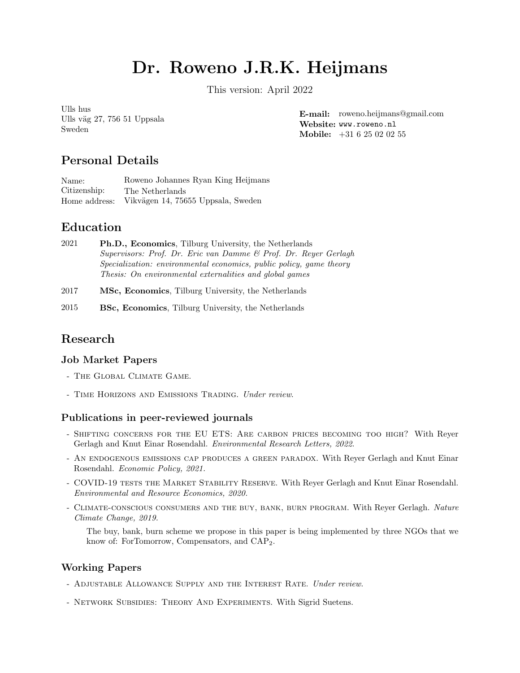# Dr. Roweno J.R.K. Heijmans

This version: April 2022

Ulls hus Ulls väg 27, 756 51 Uppsala Sweden

E-mail: [roweno.heijmans@gmail.com](mailto:roweno.heijmans@gmail.com) Website: <www.roweno.nl> Mobile: +31 6 25 02 02 55

# Personal Details

Name: Roweno Johannes Ryan King Heijmans Citizenship: The Netherlands Home address: Vikvägen 14, 75655 Uppsala, Sweden

# Education

- 2021 Ph.D., Economics, Tilburg University, the Netherlands Supervisors: Prof. Dr. Eric van Damme & Prof. Dr. Reyer Gerlagh Specialization: environmental economics, public policy, game theory Thesis: On environmental externalities and global games
- 2017 MSc, Economics, Tilburg University, the Netherlands
- 2015 BSc, Economics, Tilburg University, the Netherlands

# Research

## Job Market Papers

- [The Global Climate Game](https://www.roweno.nl/files/TheGlobalClimateGame.pdf).
- TIME HORIZONS AND EMISSIONS TRADING. Under review.

## Publications in peer-reviewed journals

- [Shifting concerns for the EU ETS: Are carbon prices becoming too high?](https://www.roweno.nl/files/ShiftingConcerns.pdf) With Reyer Gerlagh and Knut Einar Rosendahl. Environmental Research Letters, 2022.
- [An endogenous emissions cap produces a green paradox](https://academic.oup.com/economicpolicy/article/36/107/485/6178790). With Reyer Gerlagh and Knut Einar Rosendahl. Economic Policy, 2021.
- COVID-19 TESTS THE MARKET STABILITY RESERVE. With Rever Gerlagh and Knut Einar Rosendahl. Environmental and Resource Economics, 2020.
- CLIMATE-CONSCIOUS CONSUMERS AND THE BUY, BANK, BURN PROGRAM. With Reyer Gerlagh. Nature Climate Change, 2019.

The buy, bank, burn scheme we propose in this paper is being implemented by three NGOs that we know of: [ForTomorrow,](https://www.fortomorrow.eu/en/how-it-works) [Compensators,](https://www.compensators.org/) and [CAP](https://cap2.eu/)2.

## Working Papers

- ADJUSTABLE ALLOWANCE SUPPLY AND THE INTEREST RATE. Under review.
- [Network Subsidies: Theory And Experiments](https://www.roweno.nl/files/NetworkSubsidies.pdf). With Sigrid Suetens.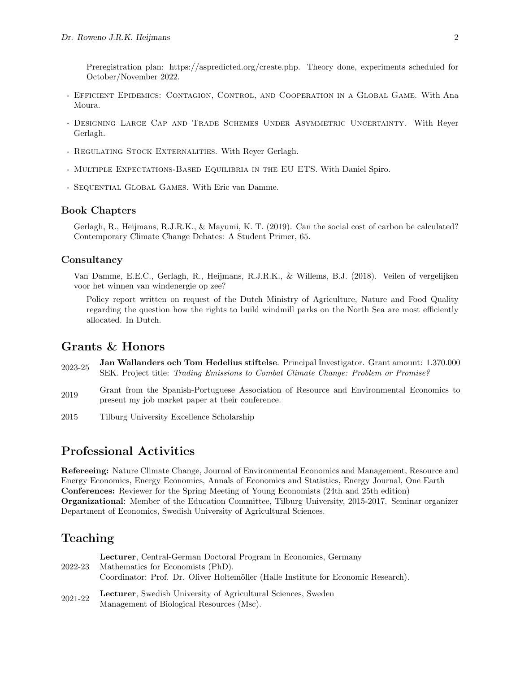Preregistration plan: [https://aspredicted.org/create.php.](https://aspredicted.org/create.php) Theory done, experiments scheduled for October/November 2022.

- [Efficient Epidemics: Contagion, Control, and Cooperation in a Global Game](https://www.roweno.nl/files/EfficientEpidemics.pdf). With Ana Moura.
- [Designing Large Cap and Trade Schemes Under Asymmetric Uncertainty](https://www.roweno.nl/files/LinkingCapAndTrade.pdf). With Reyer Gerlagh.
- REGULATING STOCK EXTERNALITIES. With Reyer Gerlagh.
- Multiple Expectations-Based Equilibria in the EU ETS. With Daniel Spiro.
- [Sequential Global Games](https://www.roweno.nl/files/SequentialGlobalGames.pdf). With Eric van Damme.

#### Book Chapters

Gerlagh, R., Heijmans, R.J.R.K., & Mayumi, K. T. (2019). Can the social cost of carbon be calculated? Contemporary Climate Change Debates: A Student Primer, 65.

#### **Consultancy**

Van Damme, E.E.C., Gerlagh, R., Heijmans, R.J.R.K., & Willems, B.J. (2018). Veilen of vergelijken voor het winnen van windenergie op zee?

Policy report written on request of the Dutch Ministry of Agriculture, Nature and Food Quality regarding the question how the rights to build windmill parks on the North Sea are most efficiently allocated. In Dutch.

## Grants & Honors

- 2023-25 Jan Wallanders och Tom Hedelius stiftelse. Principal Investigator. Grant amount: 1.370.000 SEK. Project title: [Trading Emissions to Combat Climate Change: Problem or Promise?](https://www.handelsbanken.se/shb/inet/IStartSv.nsf/FrameSet?OpenView&id=Forskningsstiftelserna)
- <sup>2019</sup> Grant from the Spanish-Portuguese Association of Resource and Environmental Economics to present my job market paper at their conference.
- 2015 Tilburg University Excellence Scholarship

## Professional Activities

Refereeing: Nature Climate Change, Journal of Environmental Economics and Management, Resource and Energy Economics, Energy Economics, Annals of Economics and Statistics, Energy Journal, One Earth Conferences: Reviewer for the Spring Meeting of Young Economists (24th and 25th edition) Organizational: Member of the Education Committee, Tilburg University, 2015-2017. Seminar organizer Department of Economics, Swedish University of Agricultural Sciences.

## Teaching

| 2022-23 | <b>Lecturer</b> , Central-German Doctoral Program in Economics, Germany<br>Mathematics for Economists (PhD).<br>Coordinator: Prof. Dr. Oliver Holtemöller (Halle Institute for Economic Research). |
|---------|----------------------------------------------------------------------------------------------------------------------------------------------------------------------------------------------------|
| 2021-22 | <b>Lecturer</b> , Swedish University of Agricultural Sciences, Sweden<br>Management of Biological Resources (Msc).                                                                                 |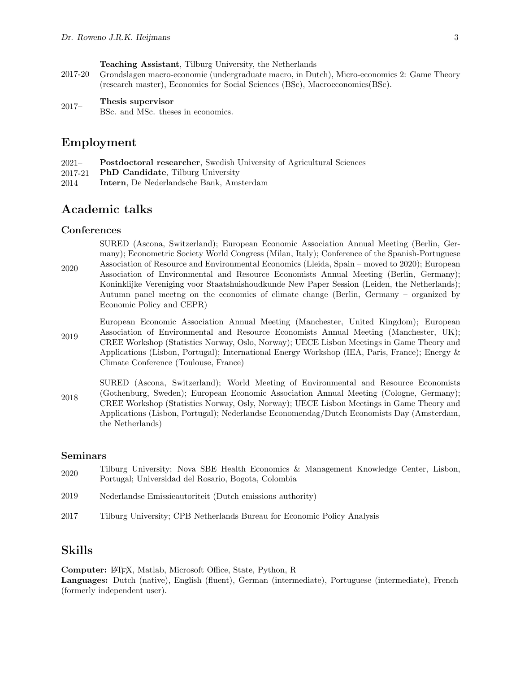Teaching Assistant, Tilburg University, the Netherlands

2017-20 Grondslagen macro-economie (undergraduate macro, in Dutch), Micro-economics 2: Game Theory (research master), Economics for Social Sciences (BSc), Macroeconomics(BSc).

## 2017– Thesis supervisor

BSc. and MSc. theses in economics.

## Employment

- 2021– Postdoctoral researcher, Swedish University of Agricultural Sciences
- 2017-21 PhD Candidate, Tilburg University
- 2014 Intern, De Nederlandsche Bank, Amsterdam

## Academic talks

#### **Conferences**

2020 SURED (Ascona, Switzerland); European Economic Association Annual Meeting (Berlin, Germany); Econometric Society World Congress (Milan, Italy); Conference of the Spanish-Portuguese Association of Resource and Environmental Economics (Lleida, Spain – moved to 2020); European Association of Environmental and Resource Economists Annual Meeting (Berlin, Germany); Koninklijke Vereniging voor Staatshuishoudkunde New Paper Session (Leiden, the Netherlands); Autumn panel meetng on the economics of climate change (Berlin, Germany – organized by Economic Policy and CEPR)

- 2019 European Economic Association Annual Meeting (Manchester, United Kingdom); European Association of Environmental and Resource Economists Annual Meeting (Manchester, UK); CREE Workshop (Statistics Norway, Oslo, Norway); UECE Lisbon Meetings in Game Theory and Applications (Lisbon, Portugal); International Energy Workshop (IEA, Paris, France); Energy & Climate Conference (Toulouse, France)
- 2018 SURED (Ascona, Switzerland); World Meeting of Environmental and Resource Economists (Gothenburg, Sweden); European Economic Association Annual Meeting (Cologne, Germany); CREE Workshop (Statistics Norway, Osly, Norway); UECE Lisbon Meetings in Game Theory and Applications (Lisbon, Portugal); Nederlandse Economendag/Dutch Economists Day (Amsterdam, the Netherlands)

#### Seminars

- <sup>2020</sup> Tilburg University; Nova SBE Health Economics & Management Knowledge Center, Lisbon, Portugal; Universidad del Rosario, Bogota, Colombia
- 2019 Nederlandse Emissieautoriteit (Dutch emissions authority)
- 2017 Tilburg University; CPB Netherlands Bureau for Economic Policy Analysis

## Skills

Computer: LATEX, Matlab, Microsoft Office, State, Python, R

Languages: Dutch (native), English (fluent), German (intermediate), Portuguese (intermediate), French (formerly independent user).